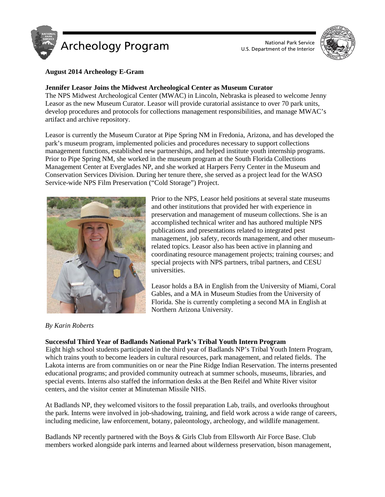



## **August 2014 Archeology E-Gram**

## **Jennifer Leasor Joins the Midwest Archeological Center as Museum Curator**

The NPS Midwest Archeological Center (MWAC) in Lincoln, Nebraska is pleased to welcome Jenny Leasor as the new Museum Curator. Leasor will provide curatorial assistance to over 70 park units, develop procedures and protocols for collections management responsibilities, and manage MWAC's artifact and archive repository.

Leasor is currently the Museum Curator at Pipe Spring NM in Fredonia, Arizona, and has developed the park's museum program, implemented policies and procedures necessary to support collections management functions, established new partnerships, and helped institute youth internship programs. Prior to Pipe Spring NM, she worked in the museum program at the South Florida Collections Management Center at Everglades NP, and she worked at Harpers Ferry Center in the Museum and Conservation Services Division. During her tenure there, she served as a project lead for the WASO Service-wide NPS Film Preservation ("Cold Storage") Project.



Prior to the NPS, Leasor held positions at several state museums and other institutions that provided her with experience in preservation and management of museum collections. She is an accomplished technical writer and has authored multiple NPS publications and presentations related to integrated pest management, job safety, records management, and other museumrelated topics. Leasor also has been active in planning and coordinating resource management projects; training courses; and special projects with NPS partners, tribal partners, and CESU universities.

Leasor holds a BA in English from the University of Miami, Coral Gables, and a MA in Museum Studies from the University of Florida. She is currently completing a second MA in English at Northern Arizona University.

### *By Karin Roberts*

### **Successful Third Year of Badlands National Park's Tribal Youth Intern Program**

Eight high school students participated in the third year of Badlands NP's Tribal Youth Intern Program, which trains youth to become leaders in cultural resources, park management, and related fields. The Lakota interns are from communities on or near the Pine Ridge Indian Reservation. The interns presented educational programs; and provided community outreach at summer schools, museums, libraries, and special events. Interns also staffed the information desks at the Ben Reifel and White River visitor centers, and the visitor center at Minuteman Missile NHS.

At Badlands NP, they welcomed visitors to the fossil preparation Lab, trails, and overlooks throughout the park. Interns were involved in job-shadowing, training, and field work across a wide range of careers, including medicine, law enforcement, botany, paleontology, archeology, and wildlife management.

Badlands NP recently partnered with the Boys & Girls Club from Ellsworth Air Force Base. Club members worked alongside park interns and learned about wilderness preservation, bison management,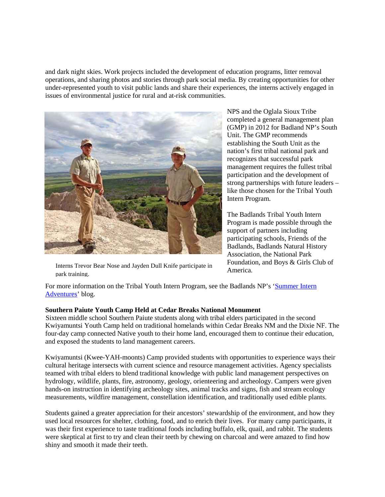and dark night skies. Work projects included the development of education programs, litter removal operations, and sharing photos and stories through park social media. By creating opportunities for other under-represented youth to visit public lands and share their experiences, the interns actively engaged in issues of environmental justice for rural and at-risk communities.



Interns Trevor Bear Nose and Jayden Dull Knife participate in park training.

NPS and the Oglala Sioux Tribe completed a general management plan (GMP) in 2012 for Badland NP's South Unit. The GMP recommends establishing the South Unit as the nation's first tribal national park and recognizes that successful park management requires the fullest tribal participation and the development of strong partnerships with future leaders – like those chosen for the Tribal Youth Intern Program.

The Badlands Tribal Youth Intern Program is made possible through the support of partners including participating schools, Friends of the Badlands, Badlands Natural History Association, the National Park Foundation, and Boys & Girls Club of America.

For more information on the Tribal Youth Intern Program, see the Badlands NP's 'Summer Intern [Adventures'](http://www.nps.gov/badl/blogs/internblog.htm) blog.

### **Southern Paiute Youth Camp Held at Cedar Breaks National Monument**

Sixteen middle school Southern Paiute students along with tribal elders participated in the second Kwiyamuntsi Youth Camp held on traditional homelands within Cedar Breaks NM and the Dixie NF. The four-day camp connected Native youth to their home land, encouraged them to continue their education, and exposed the students to land management careers.

Kwiyamuntsi (Kwee-YAH-moonts) Camp provided students with opportunities to experience ways their cultural heritage intersects with current science and resource management activities. Agency specialists teamed with tribal elders to blend traditional knowledge with public land management perspectives on hydrology, wildlife, plants, fire, astronomy, geology, orienteering and archeology. Campers were given hands-on instruction in identifying archeology sites, animal tracks and signs, fish and stream ecology measurements, wildfire management, constellation identification, and traditionally used edible plants.

Students gained a greater appreciation for their ancestors' stewardship of the environment, and how they used local resources for shelter, clothing, food, and to enrich their lives. For many camp participants, it was their first experience to taste traditional foods including buffalo, elk, quail, and rabbit. The students were skeptical at first to try and clean their teeth by chewing on charcoal and were amazed to find how shiny and smooth it made their teeth.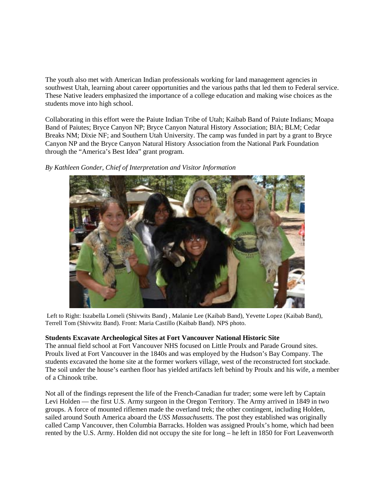The youth also met with American Indian professionals working for land management agencies in southwest Utah, learning about career opportunities and the various paths that led them to Federal service. These Native leaders emphasized the importance of a college education and making wise choices as the students move into high school.

Collaborating in this effort were the Paiute Indian Tribe of Utah; Kaibab Band of Paiute Indians; Moapa Band of Paiutes; Bryce Canyon NP; Bryce Canyon Natural History Association; BIA; BLM; Cedar Breaks NM; Dixie NF; and Southern Utah University. The camp was funded in part by a grant to Bryce Canyon NP and the Bryce Canyon Natural History Association from the National Park Foundation through the "America's Best Idea" grant program.

*By Kathleen Gonder, Chief of Interpretation and Visitor Information*



Left to Right: Iszabella Lomeli (Shivwits Band) , Malanie Lee (Kaibab Band), Yevette Lopez (Kaibab Band), Terrell Tom (Shivwitz Band). Front: Maria Castillo (Kaibab Band). NPS photo.

# **Students Excavate Archeological Sites at Fort Vancouver National Historic Site**

The annual field school at Fort Vancouver NHS focused on Little Proulx and Parade Ground sites. Proulx lived at Fort Vancouver in the 1840s and was employed by the Hudson's Bay Company. The students excavated the home site at the former workers village, west of the reconstructed fort stockade. The soil under the house's earthen floor has yielded artifacts left behind by Proulx and his wife, a member of a Chinook tribe.

Not all of the findings represent the life of the French-Canadian fur trader; some were left by Captain Levi Holden — the first U.S. Army surgeon in the Oregon Territory. The Army arrived in 1849 in two groups. A force of mounted riflemen made the overland trek; the other contingent, including Holden, sailed around South America aboard the *USS Massachusetts*. The post they established was originally called Camp Vancouver, then Columbia Barracks. Holden was assigned Proulx's home, which had been rented by the U.S. Army. Holden did not occupy the site for long – he left in 1850 for Fort Leavenworth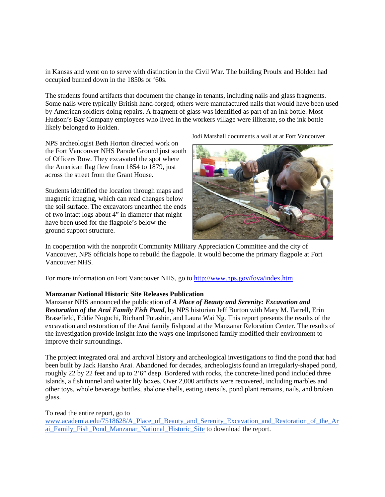in Kansas and went on to serve with distinction in the Civil War. The building Proulx and Holden had occupied burned down in the 1850s or '60s.

The students found artifacts that document the change in tenants, including nails and glass fragments. Some nails were typically British hand-forged; others were manufactured nails that would have been used by American soldiers doing repairs. A fragment of glass was identified as part of an ink bottle. Most Hudson's Bay Company employees who lived in the workers village were illiterate, so the ink bottle likely belonged to Holden.

NPS archeologist Beth Horton directed work on the Fort Vancouver NHS Parade Ground just south of Officers Row. They excavated the spot where the American flag flew from 1854 to 1879, just across the street from the Grant House.

Students identified the location through maps and magnetic imaging, which can read changes below the soil surface. The excavators unearthed the ends of two intact logs about 4" in diameter that might have been used for the flagpole's below-theground support structure.

Jodi Marshall documents a wall at at Fort Vancouver



In cooperation with the nonprofit Community Military Appreciation Committee and the city of Vancouver, NPS officials hope to rebuild the flagpole. It would become the primary flagpole at Fort Vancouver NHS.

For more information on Fort Vancouver NHS, go to<http://www.nps.gov/fova/index.htm>

### **Manzanar National Historic Site Releases Publication**

Manzanar NHS announced the publication of *A Place of Beauty and Serenity: Excavation and Restoration of the Arai Family Fish Pond*, by NPS historian Jeff Burton with Mary M. Farrell, Erin Brasefield, Eddie Noguchi, Richard Potashin, and Laura Wai Ng. This report presents the results of the excavation and restoration of the Arai family fishpond at the Manzanar Relocation Center. The results of the investigation provide insight into the ways one imprisoned family modified their environment to improve their surroundings.

The project integrated oral and archival history and archeological investigations to find the pond that had been built by Jack Hansho Arai. Abandoned for decades, archeologists found an irregularly-shaped pond, roughly 22 by 22 feet and up to 2'6" deep. Bordered with rocks, the concrete-lined pond included three islands, a fish tunnel and water lily boxes. Over 2,000 artifacts were recovered, including marbles and other toys, whole beverage bottles, abalone shells, eating utensils, pond plant remains, nails, and broken glass.

#### To read the entire report, go to

[www.academia.edu/7518628/A\\_Place\\_of\\_Beauty\\_and\\_Serenity\\_Excavation\\_and\\_Restoration\\_of\\_the\\_Ar](http://www.academia.edu/7518628/A_Place_of_Beauty_and_Serenity_Excavation_and_Restoration_of_the_Arai_Family_Fish_Pond_Manzanar_National_Historic_Site) [ai\\_Family\\_Fish\\_Pond\\_Manzanar\\_National\\_Historic\\_Site](http://www.academia.edu/7518628/A_Place_of_Beauty_and_Serenity_Excavation_and_Restoration_of_the_Arai_Family_Fish_Pond_Manzanar_National_Historic_Site) to download the report.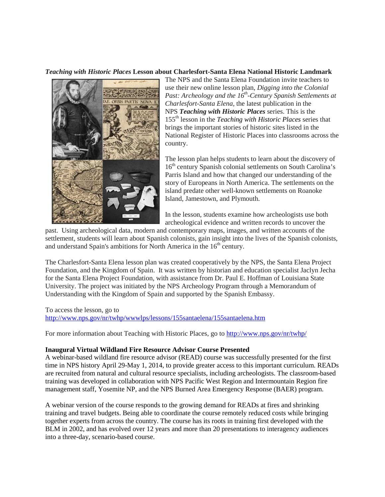### *Teaching with Historic Places* **Lesson about Charlesfort-Santa Elena National Historic Landmark**



The NPS and the Santa Elena Foundation invite teachers to use their new online lesson plan, *Digging into the Colonial Past: Archeology and the 16<sup>th</sup>-Century Spanish Settlements at Charlesfort-Santa Elena*, the latest publication in the NPS *Teaching with Historic Places* series. This is the 155th lesson in the *Teaching with Historic Places* series that brings the important stories of historic sites listed in the National Register of Historic Places into classrooms across the country.

The lesson plan helps students to learn about the discovery of 16<sup>th</sup> century Spanish colonial settlements on South Carolina's Parris Island and how that changed our understanding of the story of Europeans in North America. The settlements on the island predate other well-known settlements on Roanoke Island, Jamestown, and Plymouth.

In the lesson, students examine how archeologists use both archeological evidence and written records to uncover the

past. Using archeological data, modern and contemporary maps, images, and written accounts of the settlement, students will learn about Spanish colonists, gain insight into the lives of the Spanish colonists, and understand Spain's ambitions for North America in the  $16<sup>th</sup>$  century.

The Charlesfort-Santa Elena lesson plan was created cooperatively by the NPS, the Santa Elena Project Foundation, and the Kingdom of Spain. It was written by historian and education specialist Jaclyn Jecha for the Santa Elena Project Foundation, with assistance from Dr. Paul E. Hoffman of Louisiana State University. The project was initiated by the NPS Archeology Program through a Memorandum of Understanding with the Kingdom of Spain and supported by the Spanish Embassy.

To access the lesson, go to <http://www.nps.gov/nr/twhp/wwwlps/lessons/155santaelena/155santaelena.htm>

For more information about Teaching with Historic Places, go to<http://www.nps.gov/nr/twhp/>

### **Inaugural Virtual Wildland Fire Resource Advisor Course Presented**

A webinar-based wildland fire resource advisor (READ) course was successfully presented for the first time in NPS history April 29-May 1, 2014, to provide greater access to this important curriculum. READs are recruited from natural and cultural resource specialists, including archeologists. The classroom-based training was developed in collaboration with NPS Pacific West Region and Intermountain Region fire management staff, Yosemite NP, and the NPS Burned Area Emergency Response (BAER) program.

A webinar version of the course responds to the growing demand for READs at fires and shrinking training and travel budgets. Being able to coordinate the course remotely reduced costs while bringing together experts from across the country. The course has its roots in training first developed with the BLM in 2002, and has evolved over 12 years and more than 20 presentations to interagency audiences into a three-day, scenario-based course.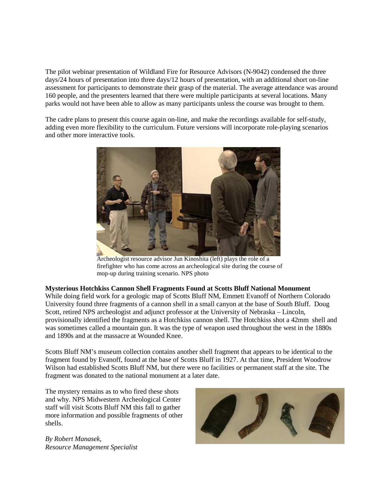The pilot webinar presentation of Wildland Fire for Resource Advisors (N-9042) condensed the three days/24 hours of presentation into three days/12 hours of presentation, with an additional short on-line assessment for participants to demonstrate their grasp of the material. The average attendance was around 160 people, and the presenters learned that there were multiple participants at several locations. Many parks would not have been able to allow as many participants unless the course was brought to them.

The cadre plans to present this course again on-line, and make the recordings available for self-study, adding even more flexibility to the curriculum. Future versions will incorporate role-playing scenarios and other more interactive tools.



Archeologist resource advisor Jun Kinoshita (left) plays the role of a firefighter who has come across an archeological site during the course of mop-up during training scenario. NPS photo

#### **Mysterious Hotchkiss Cannon Shell Fragments Found at Scotts Bluff National Monument**

While doing field work for a geologic map of Scotts Bluff NM, Emmett Evanoff of Northern Colorado University found three fragments of a cannon shell in a small canyon at the base of South Bluff. Doug Scott, retired NPS archeologist and adjunct professor at the University of Nebraska – Lincoln, provisionally identified the fragments as a Hotchkiss cannon shell. The Hotchkiss shot a 42mm shell and was sometimes called a mountain gun. It was the type of weapon used throughout the west in the 1880s and 1890s and at the massacre at Wounded Knee.

Scotts Bluff NM's museum collection contains another shell fragment that appears to be identical to the fragment found by Evanoff, found at the base of Scotts Bluff in 1927. At that time, President Woodrow Wilson had established Scotts Bluff NM, but there were no facilities or permanent staff at the site. The fragment was donated to the national monument at a later date.

The mystery remains as to who fired these shots and why. NPS Midwestern Archeological Center staff will visit Scotts Bluff NM this fall to gather more information and possible fragments of other shells.

*By Robert Manasek, Resource Management Specialist*

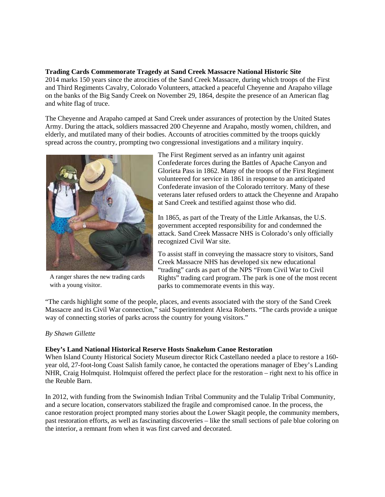#### **Trading Cards Commemorate Tragedy at Sand Creek Massacre National Historic Site**

2014 marks 150 years since the atrocities of the Sand Creek Massacre, during which troops of the First and Third Regiments Cavalry, Colorado Volunteers, attacked a peaceful Cheyenne and Arapaho village on the banks of the Big Sandy Creek on November 29, 1864, despite the presence of an American flag and white flag of truce.

The Cheyenne and Arapaho camped at Sand Creek under assurances of protection by the United States Army. During the attack, soldiers massacred 200 Cheyenne and Arapaho, mostly women, children, and elderly, and mutilated many of their bodies. Accounts of atrocities committed by the troops quickly spread across the country, prompting two congressional investigations and a military inquiry.



A ranger shares the new trading cards with a young visitor.

The First Regiment served as an infantry unit against Confederate forces during the Battles of Apache Canyon and Glorieta Pass in 1862. Many of the troops of the First Regiment volunteered for service in 1861 in response to an anticipated Confederate invasion of the Colorado territory. Many of these veterans later refused orders to attack the Cheyenne and Arapaho at Sand Creek and testified against those who did.

In 1865, as part of the Treaty of the Little Arkansas, the U.S. government accepted responsibility for and condemned the attack. Sand Creek Massacre NHS is Colorado's only officially recognized Civil War site.

To assist staff in conveying the massacre story to visitors, Sand Creek Massacre NHS has developed six new educational "trading" cards as part of the NPS "From Civil War to Civil Rights" trading card program. The park is one of the most recent parks to commemorate events in this way.

"The cards highlight some of the people, places, and events associated with the story of the Sand Creek Massacre and its Civil War connection," said Superintendent Alexa Roberts. "The cards provide a unique way of connecting stories of parks across the country for young visitors."

### *By Shawn Gillette*

### **Ebey's Land National Historical Reserve Hosts Snakelum Canoe Restoration**

When Island County Historical Society Museum director Rick Castellano needed a place to restore a 160 year old, 27-foot-long Coast Salish family canoe, he contacted the operations manager of Ebey's Landing NHR, Craig Holmquist. Holmquist offered the perfect place for the restoration – right next to his office in the Reuble Barn.

In 2012, with funding from the Swinomish Indian Tribal Community and the Tulalip Tribal Community, and a secure location, conservators stabilized the fragile and compromised canoe. In the process, the canoe restoration project prompted many stories about the Lower Skagit people, the community members, past restoration efforts, as well as fascinating discoveries – like the small sections of pale blue coloring on the interior, a remnant from when it was first carved and decorated.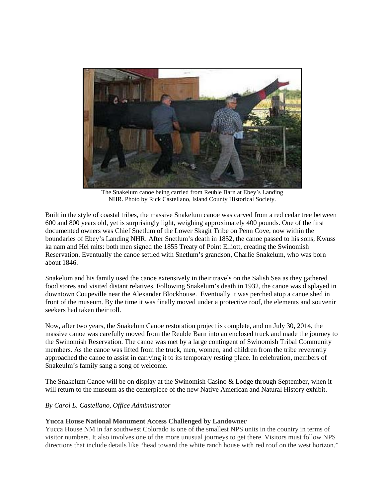

The Snakelum canoe being carried from Reuble Barn at Ebey's Landing NHR. Photo by Rick Castellano, Island County Historical Society.

Built in the style of coastal tribes, the massive Snakelum canoe was carved from a red cedar tree between 600 and 800 years old, yet is surprisingly light, weighing approximately 400 pounds. One of the first documented owners was Chief Snetlum of the Lower Skagit Tribe on Penn Cove, now within the boundaries of Ebey's Landing NHR. After Snetlum's death in 1852, the canoe passed to his sons, Kwuss ka nam and Hel mits: both men signed the 1855 Treaty of Point Elliott, creating the Swinomish Reservation. Eventually the canoe settled with Snetlum's grandson, Charlie Snakelum, who was born about 1846.

Snakelum and his family used the canoe extensively in their travels on the Salish Sea as they gathered food stores and visited distant relatives. Following Snakelum's death in 1932, the canoe was displayed in downtown Coupeville near the Alexander Blockhouse. Eventually it was perched atop a canoe shed in front of the museum. By the time it was finally moved under a protective roof, the elements and souvenir seekers had taken their toll.

Now, after two years, the Snakelum Canoe restoration project is complete, and on July 30, 2014, the massive canoe was carefully moved from the Reuble Barn into an enclosed truck and made the journey to the Swinomish Reservation. The canoe was met by a large contingent of Swinomish Tribal Community members. As the canoe was lifted from the truck, men, women, and children from the tribe reverently approached the canoe to assist in carrying it to its temporary resting place. In celebration, members of Snakeulm's family sang a song of welcome.

The Snakelum Canoe will be on display at the Swinomish Casino & Lodge through September, when it will return to the museum as the centerpiece of the new Native American and Natural History exhibit.

### *By Carol L. Castellano, Office Administrator*

### **Yucca House National Monument Access Challenged by Landowner**

Yucca House NM in far southwest Colorado is one of the smallest NPS units in the country in terms of visitor numbers. It also involves one of the more unusual journeys to get there. Visitors must follow NPS directions that include details like "head toward the white ranch house with red roof on the west horizon."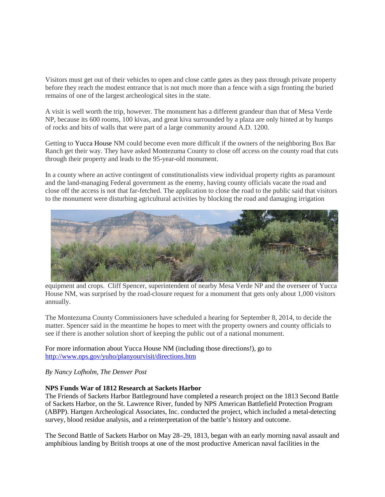Visitors must get out of their vehicles to open and close cattle gates as they pass through private property before they reach the modest entrance that is not much more than a fence with a sign fronting the buried remains of one of the largest archeological sites in the state.

A visit is well worth the trip, however. The monument has a different grandeur than that of Mesa Verde NP, because its 600 rooms, 100 kivas, and great kiva surrounded by a plaza are only hinted at by humps of rocks and bits of walls that were part of a large community around A.D. 1200.

Getting to Yucca House NM could become even more difficult if the owners of the neighboring Box Bar Ranch get their way. They have asked Montezuma County to close off access on the county road that cuts through their property and leads to the 95-year-old monument.

In a county where an active contingent of constitutionalists view individual property rights as paramount and the land-managing Federal government as the enemy, having county officials vacate the road and close off the access is not that far-fetched. The application to close the road to the public said that visitors to the monument were disturbing agricultural activities by blocking the road and damaging irrigation



equipment and crops. Cliff Spencer, superintendent of nearby Mesa Verde NP and the overseer of Yucca House NM, was surprised by the road-closure request for a monument that gets only about 1,000 visitors annually.

The Montezuma County Commissioners have scheduled a hearing for September 8, 2014, to decide the matter. Spencer said in the meantime he hopes to meet with the property owners and county officials to see if there is another solution short of keeping the public out of a national monument.

For more information about Yucca House NM (including those directions!), go to <http://www.nps.gov/yuho/planyourvisit/directions.htm>

*By Nancy Lofholm, The Denver Post*

### **NPS Funds War of 1812 Research at Sackets Harbor**

The Friends of Sackets Harbor Battleground have completed a research project on the 1813 Second Battle of Sackets Harbor, on the St. Lawrence River, funded by NPS American Battlefield Protection Program (ABPP). Hartgen Archeological Associates, Inc. conducted the project, which included a metal-detecting survey, blood residue analysis, and a reinterpretation of the battle's history and outcome.

The Second Battle of Sackets Harbor on May 28–29, 1813, began with an early morning naval assault and amphibious landing by British troops at one of the most productive American naval facilities in the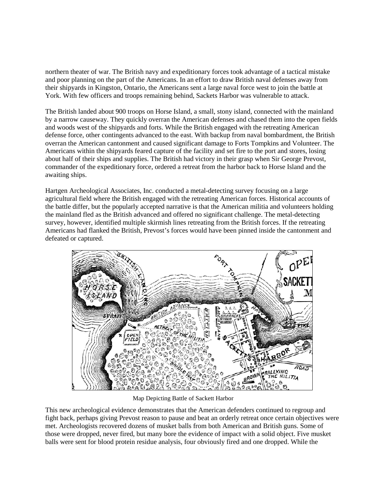northern theater of war. The British navy and expeditionary forces took advantage of a tactical mistake and poor planning on the part of the Americans. In an effort to draw British naval defenses away from their shipyards in Kingston, Ontario, the Americans sent a large naval force west to join the battle at York. With few officers and troops remaining behind, Sackets Harbor was vulnerable to attack.

The British landed about 900 troops on Horse Island, a small, stony island, connected with the mainland by a narrow causeway. They quickly overran the American defenses and chased them into the open fields and woods west of the shipyards and forts. While the British engaged with the retreating American defense force, other contingents advanced to the east. With backup from naval bombardment, the British overran the American cantonment and caused significant damage to Forts Tompkins and Volunteer. The Americans within the shipyards feared capture of the facility and set fire to the port and stores, losing about half of their ships and supplies. The British had victory in their grasp when Sir George Prevost, commander of the expeditionary force, ordered a retreat from the harbor back to Horse Island and the awaiting ships.

Hartgen Archeological Associates, Inc. conducted a metal-detecting survey focusing on a large agricultural field where the British engaged with the retreating American forces. Historical accounts of the battle differ, but the popularly accepted narrative is that the American militia and volunteers holding the mainland fled as the British advanced and offered no significant challenge. The metal-detecting survey, however, identified multiple skirmish lines retreating from the British forces. If the retreating Americans had flanked the British, Prevost's forces would have been pinned inside the cantonment and defeated or captured.



Map Depicting Battle of Sackett Harbor

This new archeological evidence demonstrates that the American defenders continued to regroup and fight back, perhaps giving Prevost reason to pause and beat an orderly retreat once certain objectives were met. Archeologists recovered dozens of musket balls from both American and British guns. Some of those were dropped, never fired, but many bore the evidence of impact with a solid object. Five musket balls were sent for blood protein residue analysis, four obviously fired and one dropped. While the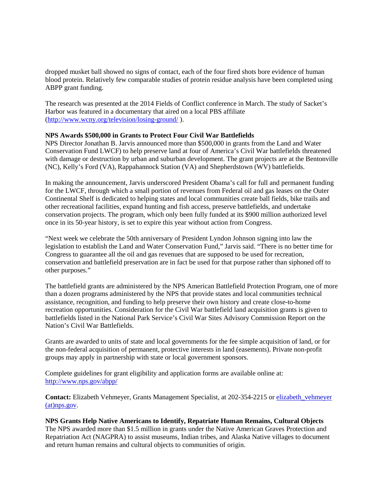dropped musket ball showed no signs of contact, each of the four fired shots bore evidence of human blood protein. Relatively few comparable studies of protein residue analysis have been completed using ABPP grant funding.

The research was presented at the 2014 Fields of Conflict conference in March. The study of Sacket's Harbor was featured in a documentary that aired on a local PBS affiliate [\(http://www.wcny.org/television/losing-ground/](http://www.wcny.org/television/losing-ground/) ).

### **NPS Awards \$500,000 in Grants to Protect Four Civil War Battlefields**

NPS Director Jonathan B. Jarvis announced more than \$500,000 in grants from the Land and Water Conservation Fund LWCF) to help preserve land at four of America's Civil War battlefields threatened with damage or destruction by urban and suburban development. The grant projects are at the Bentonville (NC), Kelly's Ford (VA), Rappahannock Station (VA) and Shepherdstown (WV) battlefields.

In making the announcement, Jarvis underscored President Obama's call for full and permanent funding for the LWCF, through which a small portion of revenues from Federal oil and gas leases on the Outer Continental Shelf is dedicated to helping states and local communities create ball fields, bike trails and other recreational facilities, expand hunting and fish access, preserve battlefields, and undertake conservation projects. The program, which only been fully funded at its \$900 million authorized level once in its 50-year history, is set to expire this year without action from Congress.

"Next week we celebrate the 50th anniversary of President Lyndon Johnson signing into law the legislation to establish the Land and Water Conservation Fund," Jarvis said. "There is no better time for Congress to guarantee all the oil and gas revenues that are supposed to be used for recreation, conservation and battlefield preservation are in fact be used for that purpose rather than siphoned off to other purposes."

The battlefield grants are administered by the NPS American Battlefield Protection Program, one of more than a dozen programs administered by the NPS that provide states and local communities technical assistance, recognition, and funding to help preserve their own history and create close-to-home recreation opportunities. Consideration for the Civil War battlefield land acquisition grants is given to battlefields listed in the National Park Service's Civil War Sites Advisory Commission Report on the Nation's Civil War Battlefields.

Grants are awarded to units of state and local governments for the fee simple acquisition of land, or for the non-federal acquisition of permanent, protective interests in land (easements). Private non-profit groups may apply in partnership with state or local government sponsors.

Complete guidelines for grant eligibility and application forms are available online at: <http://www.nps.gov/abpp/>

**Contact:** Elizabeth Vehmeyer, Grants Management Specialist, at 202-354-2215 or [elizabeth\\_vehmeyer](mailto:elizabeth_vehmeyer@nps.gov)  [\(at\)nps.gov.](mailto:elizabeth_vehmeyer@nps.gov)

**NPS Grants Help Native Americans to Identify, Repatriate Human Remains, Cultural Objects** The NPS awarded more than \$1.5 million in grants under the Native American Graves Protection and Repatriation Act (NAGPRA) to assist museums, Indian tribes, and Alaska Native villages to document and return human remains and cultural objects to communities of origin.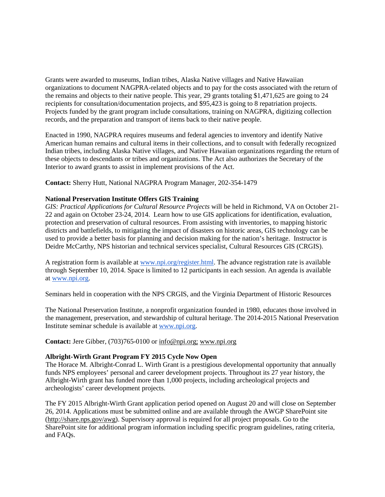Grants were awarded to museums, Indian tribes, Alaska Native villages and Native Hawaiian organizations to document NAGPRA-related objects and to pay for the costs associated with the return of the remains and objects to their native people. This year, 29 grants totaling \$1,471,625 are going to 24 recipients for consultation/documentation projects, and \$95,423 is going to 8 repatriation projects. Projects funded by the grant program include consultations, training on NAGPRA, digitizing collection records, and the preparation and transport of items back to their native people.

Enacted in 1990, NAGPRA requires museums and federal agencies to inventory and identify Native American human remains and cultural items in their collections, and to consult with federally recognized Indian tribes, including Alaska Native villages, and Native Hawaiian organizations regarding the return of these objects to descendants or tribes and organizations. The Act also authorizes the Secretary of the Interior to award grants to assist in implement provisions of the Act.

**Contact:** Sherry Hutt, National NAGPRA Program Manager, 202-354-1479

#### **National Preservation Institute Offers GIS Training**

*GIS: Practical Applications for Cultural Resource Projects* will be held in Richmond, VA on October 21- 22 and again on October 23-24, 2014. Learn how to use GIS applications for identification, evaluation, protection and preservation of cultural resources. From assisting with inventories, to mapping historic districts and battlefields, to mitigating the impact of disasters on historic areas, GIS technology can be used to provide a better basis for planning and decision making for the nation's heritage. Instructor is Deidre McCarthy, NPS historian and technical services specialist, Cultural Resources GIS (CRGIS).

A registration form is available at [www.npi.org/register.html.](http://www.npi.org/register.html) The advance registration rate is available through September 10, 2014. Space is limited to 12 participants in each session. An agenda is available at [www.npi.org.](http://www.npi.org/)

Seminars held in cooperation with the NPS CRGIS, and the Virginia Department of Historic Resources

The National Preservation Institute, a nonprofit organization founded in 1980, educates those involved in the management, preservation, and stewardship of cultural heritage. The 2014-2015 National Preservation Institute seminar schedule is available at [www.npi.org.](http://www.npi.org/)

**Contact:** Jere Gibber, (703)765-0100 or [info@npi.org;](mailto:info@npi.org) [www.npi.org](http://www.npi.org/)

## **Albright-Wirth Grant Program FY 2015 Cycle Now Open**

The Horace M. Albright-Conrad L. Wirth Grant is a prestigious developmental opportunity that annually funds NPS employees' personal and career development projects. Throughout its 27 year history, the Albright-Wirth grant has funded more than 1,000 projects, including archeological projects and archeologists' career development projects.

The FY 2015 Albright-Wirth Grant application period opened on August 20 and will close on September 26, 2014. Applications must be submitted online and are available through the AWGP SharePoint site [\(http://share.nps.gov/awg\)](http://share.nps.gov/awg). Supervisory approval is required for all project proposals. Go to the SharePoint site for additional program information including specific program guidelines, rating criteria, and FAQs.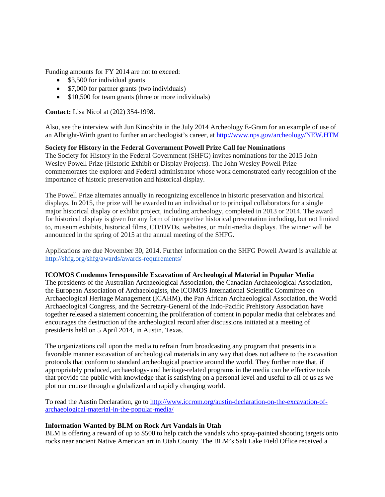Funding amounts for FY 2014 are not to exceed:

- \$3,500 for individual grants
- \$7,000 for partner grants (two individuals)
- \$10,500 for team grants (three or more individuals)

**Contact:** Lisa Nicol at (202) 354-1998.

Also, see the interview with Jun Kinoshita in the July 2014 Archeology E-Gram for an example of use of an Albright-Wirth grant to further an archeologist's career, at<http://www.nps.gov/archeology/NEW.HTM>

# **Society for History in the Federal Government Powell Prize Call for Nominations**

The Society for History in the Federal Government (SHFG) invites nominations for the 2015 John Wesley Powell Prize (Historic Exhibit or Display Projects). The John Wesley Powell Prize commemorates the explorer and Federal administrator whose work demonstrated early recognition of the importance of historic preservation and historical display.

The Powell Prize alternates annually in recognizing excellence in historic preservation and historical displays. In 2015, the prize will be awarded to an individual or to principal collaborators for a single major historical display or exhibit project, including archeology, completed in 2013 or 2014. The award for historical display is given for any form of interpretive historical presentation including, but not limited to, museum exhibits, historical films, CD/DVDs, websites, or multi-media displays. The winner will be announced in the spring of 2015 at the annual meeting of the SHFG.

Applications are due November 30, 2014. Further information on the SHFG Powell Award is available at <http://shfg.org/shfg/awards/awards-requirements/>

### **ICOMOS Condemns Irresponsible Excavation of Archeological Material in Popular Media**

The presidents of the Australian Archaeological Association, the Canadian Archaeological Association, the European Association of Archaeologists, the ICOMOS International Scientific Committee on Archaeological Heritage Management (ICAHM), the Pan African Archaeological Association, the World Archaeological Congress, and the Secretary-General of the Indo-Pacific Prehistory Association have together released a statement concerning the proliferation of content in popular media that celebrates and encourages the destruction of the archeological record after discussions initiated at a meeting of presidents held on 5 April 2014, in Austin, Texas.

The organizations call upon the media to refrain from broadcasting any program that presents in a favorable manner excavation of archeological materials in any way that does not adhere to the excavation protocols that conform to standard archeological practice around the world. They further note that, if appropriately produced, archaeology- and heritage-related programs in the media can be effective tools that provide the public with knowledge that is satisfying on a personal level and useful to all of us as we plot our course through a globalized and rapidly changing world.

To read the Austin Declaration, go to [http://www.iccrom.org/austin-declaration-on-the-excavation-of](http://www.iccrom.org/austin-declaration-on-the-excavation-of-archaeological-material-in-the-popular-media/)[archaeological-material-in-the-popular-media/](http://www.iccrom.org/austin-declaration-on-the-excavation-of-archaeological-material-in-the-popular-media/)

### **Information Wanted by BLM on Rock Art Vandals in Utah**

BLM is offering a reward of up to \$500 to help catch the vandals who spray-painted shooting targets onto rocks near ancient Native American art in Utah County. The BLM's Salt Lake Field Office received a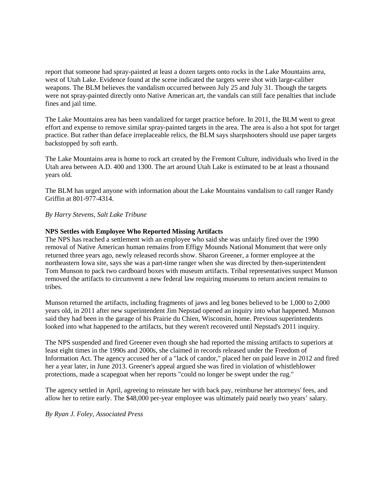report that someone had spray-painted at least a dozen targets onto rocks in the Lake Mountains area, west of Utah Lake. Evidence found at the scene indicated the targets were shot with large-caliber weapons. The BLM believes the vandalism occurred between July 25 and July 31. Though the targets were not spray-painted directly onto Native American art, the vandals can still face penalties that include fines and jail time.

The Lake Mountains area has been vandalized for target practice before. In 2011, the BLM went to great effort and expense to remove similar spray-painted targets in the area. The area is also a hot spot for target practice. But rather than deface irreplaceable relics, the BLM says sharpshooters should use paper targets backstopped by soft earth.

The Lake Mountains area is home to rock art created by the Fremont Culture, individuals who lived in the Utah area between A.D. 400 and 1300. The art around Utah Lake is estimated to be at least a thousand years old.

The BLM has urged anyone with information about the Lake Mountains vandalism to call ranger Randy Griffin at 801-977-4314.

### *By Harry Stevens, Salt Lake Tribune*

### **NPS Settles with Employee Who Reported Missing Artifacts**

The NPS has reached a settlement with an employee who said she was unfairly fired over the 1990 removal of Native American human remains from Effigy Mounds National Monument that were only returned three years ago, newly released records show. Sharon Greener, a former employee at the northeastern Iowa site, says she was a part-time ranger when she was directed by then-superintendent Tom Munson to pack two cardboard boxes with museum artifacts. Tribal representatives suspect Munson removed the artifacts to circumvent a new federal law requiring museums to return ancient remains to tribes.

Munson returned the artifacts, including fragments of jaws and leg bones believed to be 1,000 to 2,000 years old, in 2011 after new superintendent Jim Nepstad opened an inquiry into what happened. Munson said they had been in the garage of his Prairie du Chien, Wisconsin, home. Previous superintendents looked into what happened to the artifacts, but they weren't recovered until Nepstad's 2011 inquiry.

The NPS suspended and fired Greener even though she had reported the missing artifacts to superiors at least eight times in the 1990s and 2000s, she claimed in records released under the Freedom of Information Act. The agency accused her of a "lack of candor," placed her on paid leave in 2012 and fired her a year later, in June 2013. Greener's appeal argued she was fired in violation of whistleblower protections, made a scapegoat when her reports "could no longer be swept under the rug."

The agency settled in April, agreeing to reinstate her with back pay, reimburse her attorneys' fees, and allow her to retire early. The \$48,000 per-year employee was ultimately paid nearly two years' salary.

*By Ryan J. Foley, Associated Press*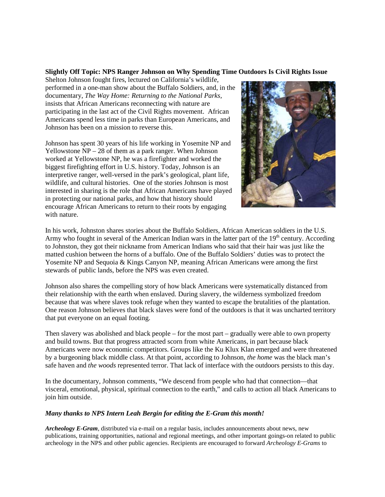### **Slightly Off Topic: NPS Ranger Johnson on Why Spending Time Outdoors Is Civil Rights Issue**

Shelton Johnson fought fires, lectured on California's wildlife, performed in a one-man show about the Buffalo Soldiers, and, in the documentary, *The Way Home: Returning to the National Parks,* insists that African Americans reconnecting with nature are participating in the last act of the Civil Rights movement. African Americans spend less time in parks than European Americans, and Johnson has been on a mission to reverse this.

Johnson has spent 30 years of his life working in Yosemite NP and Yellowstone NP – 28 of them as a park ranger. When Johnson worked at Yellowstone NP, he was a firefighter and worked the biggest firefighting effort in U.S. history. Today, Johnson is an interpretive ranger, well-versed in the park's geological, plant life, wildlife, and cultural histories. One of the stories Johnson is most interested in sharing is the role that African Americans have played in protecting our national parks, and how that history should encourage African Americans to return to their roots by engaging with nature.



In his work, Johnston shares stories about the Buffalo Soldiers, African American soldiers in the U.S. Army who fought in several of the American Indian wars in the latter part of the  $19<sup>th</sup>$  century. According to Johnston, they got their nickname from American Indians who said that their hair was just like the matted cushion between the horns of a buffalo. One of the Buffalo Soldiers' duties was to protect the Yosemite NP and Sequoia & Kings Canyon NP, meaning African Americans were among the first stewards of public lands, before the NPS was even created.

Johnson also shares the compelling story of how black Americans were systematically distanced from their relationship with the earth when enslaved. During slavery, the wilderness symbolized freedom because that was where slaves took refuge when they wanted to escape the brutalities of the plantation. One reason Johnson believes that black slaves were fond of the outdoors is that it was uncharted territory that put everyone on an equal footing.

Then slavery was abolished and black people – for the most part – gradually were able to own property and build towns. But that progress attracted scorn from white Americans, in part because black Americans were now economic competitors. Groups like the Ku Klux Klan emerged and were threatened by a burgeoning black middle class. At that point, according to Johnson, *the home* was the black man's safe haven and *the woods* represented terror. That lack of interface with the outdoors persists to this day.

In the documentary, Johnson comments, "We descend from people who had that connection—that visceral, emotional, physical, spiritual connection to the earth," and calls to action all black Americans to join him outside.

### *Many thanks to NPS Intern Leah Bergin for editing the E-Gram this month!*

*Archeology E-Gram*, distributed via e-mail on a regular basis, includes announcements about news, new publications, training opportunities, national and regional meetings, and other important goings-on related to public archeology in the NPS and other public agencies. Recipients are encouraged to forward *Archeology E-Grams* to